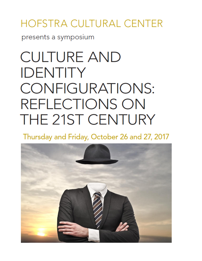## HOFSTRA CULTURAL CENTER

presents a symposium

## **CULTURE AND IDENTITY CONFIGURATIONS:** REFLECTIONS ON THE 21ST CENTURY

Thursday and Friday, October 26 and 27, 2017

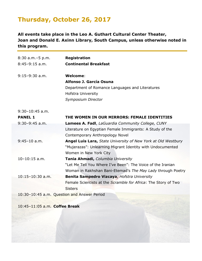## **Thursday, October 26, 2017**

**All events take place in the Leo A. Guthart Cultural Center Theater, Joan and Donald E. Axinn Library, South Campus, unless otherwise noted in this program.**

| 8:30 a.m. - 5 p.m.   | <b>Registration</b>                                                  |
|----------------------|----------------------------------------------------------------------|
| $8:45-9:15$ a.m.     | <b>Continental Breakfast</b>                                         |
|                      |                                                                      |
| $9:15-9:30$ a.m.     | Welcome:                                                             |
|                      | Alfonso J. García Osuna                                              |
|                      | Department of Romance Languages and Literatures                      |
|                      | <b>Hofstra University</b>                                            |
|                      | Symposium Director                                                   |
| $9:30-10:45$ a.m.    |                                                                      |
| <b>PANEL 1</b>       | THE WOMEN IN OUR MIRRORS: FEMALE IDENTITIES                          |
| $9:30-9:45$ a.m.     | Lamees A. Fadl, LaGuardia Community College, CUNY                    |
|                      | Literature on Egyptian Female Immigrants: A Study of the             |
|                      | Contemporary Anthropology Novel                                      |
| $9:45-10$ a.m.       | <b>Angel Luis Lara, State University of New York at Old Westbury</b> |
|                      | "Mujerazas": Unlearning Migrant Identity with Undocumented           |
|                      | Women in New York City                                               |
| $10-10:15$ a.m.      | Tania Ahmadi, Columbia University                                    |
|                      | "Let Me Tell You Where I've Been": The Voice of the Iranian          |
|                      | Woman in Rakhshan Bani-Etemad's The May Lady through Poetry          |
| $10:15 - 10:30$ a.m. | Benita Sampedro Vizcaya, Hofstra University                          |
|                      | Female Scientists at the Scramble for Africa: The Story of Two       |
|                      | <b>Sisters</b>                                                       |
|                      | 10:30-10:45 a.m. Question and Answer Period                          |
|                      |                                                                      |

10:45–11:05 a.m. **Coffee Break**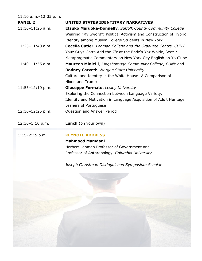11:10 a.m.–12:35 p.m.

| <b>PANEL 2</b>     | UNITED STATES IDENTITARY NARRATIVES                               |
|--------------------|-------------------------------------------------------------------|
| $11:10-11:25$ a.m. | <b>Etsuko Maruoka-Donnelly, Suffolk County Community College</b>  |
|                    | Wearing "My Sword": Political Activism and Construction of Hybrid |
|                    | Identity among Muslim College Students in New York                |
| 11:25-11:40 a.m.   | Cecelia Cutler, Lehman College and the Graduate Centre, CUNY      |
|                    | Youz Guyz Gotta Add the Z'z at the Endz'a Yaz Woidz, Seez!:       |
|                    | Metapragmatic Commentary on New York City English on YouTube      |
| $11:40-11:55$ a.m. | Maureen Minielli, Kingsborough Community College, CUNY and        |
|                    | Rodney Carveth, Morgan State University                           |
|                    | Culture and Identity in the White House: A Comparison of          |
|                    | Nixon and Trump                                                   |
| 11:55-12:10 p.m.   | <b>Giuseppe Formato, Lesley University</b>                        |
|                    | Exploring the Connection between Language Variety,                |
|                    | Identity and Motivation in Language Acquisition of Adult Heritage |
|                    | Leaners of Portuguese                                             |
| $12:10-12:25$ p.m. | <b>Question and Answer Period</b>                                 |
|                    |                                                                   |
| $12:30-1:10 p.m.$  | <b>Lunch</b> (on your own)                                        |
| $1:15-2:15$ p.m.   | <b>KEYNOTE ADDRESS</b>                                            |
|                    | <b>Mahmood Mamdani</b>                                            |
|                    | Herbert Lehman Professor of Government and                        |
|                    | Professor of Anthropology, Columbia University                    |
|                    |                                                                   |

*Joseph G. Astman Distinguished Symposium Scholar*

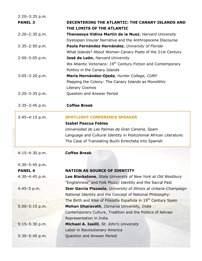| $2:20-3:35$ p.m. |                                                                                                                          |
|------------------|--------------------------------------------------------------------------------------------------------------------------|
| <b>PANEL 3</b>   | DECENTERING THE ATLANTIC: THE CANARY ISLANDS AND                                                                         |
|                  | THE LIMITS OF THE ATLANTIC                                                                                               |
| $2:20-2:35$ p.m. | Thenesoya Vidina Martín de la Nuez, Harvard University                                                                   |
|                  | Dystopian Insular Narrative and the Anthropocene Discourse                                                               |
| $2:35-2:50$ p.m. | Paula Fernández Hernández, University of Florida                                                                         |
|                  | What Islands? About Women Canary Poets of the 21st Century                                                               |
| $2:50-3:05$ p.m. | José de León, Harvard University                                                                                         |
|                  | We Atlantic Victorians: 19 <sup>th</sup> Century Fiction and Contemporary                                                |
|                  | Politics in the Canary Islands                                                                                           |
| $3:05-3:20 p.m.$ | María Hernández-Ojeda, Hunter College, CUNY                                                                              |
|                  | Mapping the Colony: The Canary Islands as Monolithic                                                                     |
|                  | <b>Literary Cosmos</b>                                                                                                   |
| $3:20-3:35$ p.m. | Question and Answer Period                                                                                               |
| $3:35-3:45$ p.m. | <b>Coffee Break</b>                                                                                                      |
| $3:45-4:15 p.m.$ | <b>SPOTLIGHT CONFERENCE SPEAKER</b>                                                                                      |
|                  | <b>Isabel Pascua Febles</b>                                                                                              |
|                  | Universidad de Las Palmas de Gran Canaria, Spain                                                                         |
|                  | Language and Cultural Identity in Postcolonial African Literature:                                                       |
|                  | The Case of Translating Buchi Emecheta into Spanish                                                                      |
| $4:15-4:30 p.m.$ | <b>Coffee Break</b>                                                                                                      |
| $4:30-5:45$ p.m. |                                                                                                                          |
| <b>PANEL 4</b>   | <b>NATION AS SOURCE OF IDENTITY</b>                                                                                      |
|                  |                                                                                                                          |
|                  |                                                                                                                          |
| 4:30-4:45 p.m.   | Lee Blackstone, State University of New York at Old Westbury                                                             |
|                  | "Englishness" and Folk Music: Identity and the Sacral Past                                                               |
| $4:45-5 p.m.$    | Iker García Plazaola, University of Illinois at Urbana-Champaign                                                         |
|                  | National Identity and the Concept of National Philosophy:                                                                |
| $5:00-5:15$ p.m. | The Birth and Rise of Filosofía Española in 19 <sup>th</sup> Century Spain<br>Mohan Dharavath, Osmania University, India |
|                  | Contemporary Culture, Tradition and the Politics of Adivasi                                                              |
|                  | Representation in India                                                                                                  |
| $5:15-5:30$ p.m. | Michael A. Iasilli, St. John's University                                                                                |
|                  | Labor in Revolutionary America                                                                                           |
| $5:30-5:45$ p.m. | Question and Answer Period                                                                                               |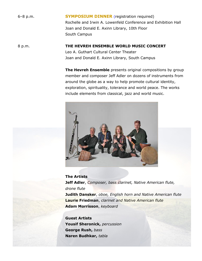6–8 p.m. **SYMPOSIUM DINNER** (registration required) Rochelle and Irwin A. Lowenfeld Conference and Exhibition Hall Joan and Donald E. Axinn Library, 10th Floor South Campus

8 p.m. **THE HEVREH ENSEMBLE WORLD MUSIC CONCERT** Leo A. Guthart Cultural Center Theater Joan and Donald E. Axinn Library, South Campus

> **The Hevreh Ensemble** presents original compositions by group member and composer Jeff Adler on dozens of instruments from around the globe as a way to help promote cultural identity, exploration, spirituality, tolerance and world peace. The works include elements from classical, jazz and world music.



**The Artists Jeff Adler**, *Composer, bass clarinet, Native American flute, drone flute* **Judith Dansker**, *oboe, English horn and Native American flute* **Laurie Friedman**, *clarinet and Native American flute* **Adam Morrisson**, *keyboard*

**Guest Artists Yousif Sheronick,** *percussion* **George Rush,** *bass* **Naren Budhkar,** *tabla*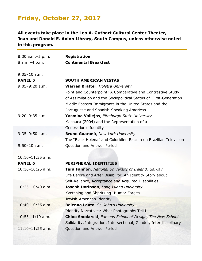## **Friday, October 27, 2017**

**All events take place in the Leo A. Guthart Cultural Center Theater, Joan and Donald E. Axinn Library, South Campus, unless otherwise noted in this program.**

| $8:30$ a.m. $-5$ p.m. | <b>Registration</b>                                                                                                                                                                                                                                                                 |
|-----------------------|-------------------------------------------------------------------------------------------------------------------------------------------------------------------------------------------------------------------------------------------------------------------------------------|
| 8 a.m. - 4 p.m.       | <b>Continental Breakfast</b>                                                                                                                                                                                                                                                        |
| $9:05-10$ a.m.        |                                                                                                                                                                                                                                                                                     |
| <b>PANEL 5</b>        | <b>SOUTH AMERICAN VISTAS</b>                                                                                                                                                                                                                                                        |
| $9:05-9:20$ a.m.      | <b>Warren Bratter, Hofstra University</b><br>Point and Counterpoint: A Comparative and Contrastive Study<br>of Assimilation and the Sociopolitical Status of First-Generation<br>Middle Eastern Immigrants in the United States and the<br>Portuguese and Spanish-Speaking Americas |
| $9:20-9:35$ a.m.      | Yasmina Vallejos, Pittsburgh State University<br>Machuca (2004) and the Representation of a                                                                                                                                                                                         |
|                       | Generation's Identity                                                                                                                                                                                                                                                               |
| $9:35-9:50$ a.m.      | <b>Bruno Guaraná, New York University</b>                                                                                                                                                                                                                                           |
|                       | The "Black Helena" and Colorblind Racism on Brazilian Television                                                                                                                                                                                                                    |
| $9:50-10$ a.m.        | Question and Answer Period                                                                                                                                                                                                                                                          |
| $10:10-11:35$ a.m.    |                                                                                                                                                                                                                                                                                     |
| <b>PANEL 6</b>        | <b>PERIPHERAL IDENTITIES</b>                                                                                                                                                                                                                                                        |
| $10:10-10:25$ a.m.    | <b>Tara Fannon</b> , National University of Ireland, Galway                                                                                                                                                                                                                         |
|                       | Life Before and After Disability: An Identity Story about                                                                                                                                                                                                                           |
|                       | Self-Reliance, Acceptance and Acquired Disabilities                                                                                                                                                                                                                                 |
| $10:25 - 10:40$ a.m.  | Joseph Dorinson, Long Island University                                                                                                                                                                                                                                             |
|                       | Kvetching and Shpritzing: Humor Forges                                                                                                                                                                                                                                              |
|                       | Jewish-American Identity                                                                                                                                                                                                                                                            |
| $10:40-10:55$ a.m.    | Belenna Lauto, St. John's University                                                                                                                                                                                                                                                |
|                       | Identity Narratives: What Photographs Tell Us                                                                                                                                                                                                                                       |
| $10:55 - 1:10$ a.m.   | <b>Chloe Smolarski</b> , Parsons School of Design, The New School                                                                                                                                                                                                                   |
|                       | Solidarity, Integration, Intersectional, Gender, Interdisciplinary                                                                                                                                                                                                                  |
| $11:10-11:25$ a.m.    | Question and Answer Period                                                                                                                                                                                                                                                          |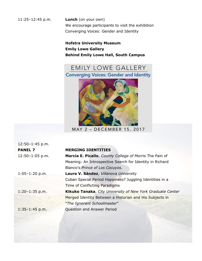11:25–12:45 p.m. **Lunch** (on your own) We encourage participants to visit the exhibition Converging Voices: Gender and Identity

> **Hofstra University Museum Emily Lowe Gallery Behind Emily Lowe Hall, South Campus**



MAY 2 - DECEMBER 15, 2017

12:50–1:45 p.m. 12:50-1:05 p.m.

1:05-1:20 p.m.

1:20-1:35 p.m.

**PANEL 7 MERGING IDENTITIES** 

| Marcia E. Picallo, County College of Morris The Pain of           |
|-------------------------------------------------------------------|
| Meaning: An Introspective Search for Identity in Richard          |
| Blanco's Prince of Los Cocuyos.                                   |
| Laura V. Sández, Villanova University                             |
| Cuban Special Period Happiness? Juggling Identities in a          |
| Time of Conflicting Paradigms                                     |
| <b>Kikuko Tanaka, City University of New York Graduate Center</b> |
| Merged Identity Between a Historian and His Subjects in           |
| "The Ignorant Schoolmaster"                                       |
| <b>Question and Answer Period</b>                                 |

1:35-1:45 p.m.